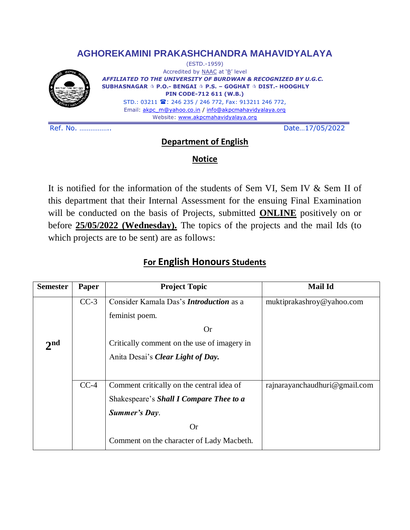### **AGHOREKAMINI PRAKASHCHANDRA MAHAVIDYALAYA**



(ESTD.-1959) Accredited by NAAC at 'B' level  *AFFILIATED TO THE UNIVERSITY OF BURDWAN & RECOGNIZED BY U.G.C.*  **SUBHASNAGAR P.O.- BENGAI P.S. – GOGHAT DIST.- HOOGHLY PIN CODE-712 611 (W.B.)** STD.: 03211 : 246 235 / 246 772, Fax: 913211 246 772, Email: [akpc\\_m@yahoo.co.in](mailto:akpc_m@yahoo.co.in) / [info@akpcmahavidyalaya.org](mailto:info@akpcmahavidyalaya.org) Website: [www.akpcmahavidyalaya.org](http://www.akpcmahavidyalaya.org/)

Ref. No. …………….. Date…17/05/2022

#### **Department of English**

#### **Notice**

It is notified for the information of the students of Sem VI, Sem IV & Sem II of this department that their Internal Assessment for the ensuing Final Examination will be conducted on the basis of Projects, submitted **ONLINE** positively on or before **25/05/2022 (Wednesday).** The topics of the projects and the mail Ids (to which projects are to be sent) are as follows:

## **For English Honours Students**

| <b>Semester</b> | Paper  | <b>Project Topic</b>                           | <b>Mail Id</b>                |
|-----------------|--------|------------------------------------------------|-------------------------------|
|                 | $CC-3$ | Consider Kamala Das's <i>Introduction</i> as a | muktiprakashroy@yahoo.com     |
|                 |        | feminist poem.                                 |                               |
|                 |        | <b>Or</b>                                      |                               |
| 2 <sub>nd</sub> |        | Critically comment on the use of imagery in    |                               |
|                 |        | Anita Desai's Clear Light of Day.              |                               |
|                 |        |                                                |                               |
|                 | $CC-4$ | Comment critically on the central idea of      | rajnarayanchaudhuri@gmail.com |
|                 |        | Shakespeare's Shall I Compare Thee to a        |                               |
|                 |        | <b>Summer's Day.</b>                           |                               |
|                 |        | <b>Or</b>                                      |                               |
|                 |        | Comment on the character of Lady Macbeth.      |                               |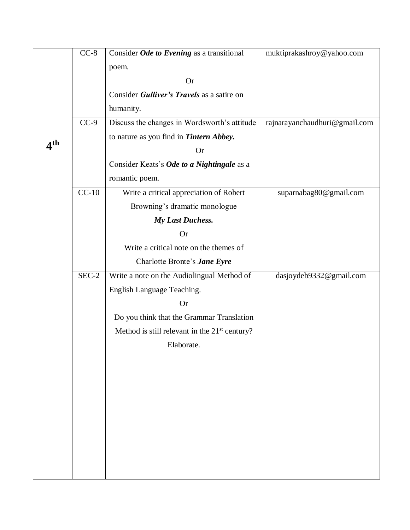|                 | $CC-8$  | Consider Ode to Evening as a transitional       | muktiprakashroy@yahoo.com     |
|-----------------|---------|-------------------------------------------------|-------------------------------|
|                 |         | poem.                                           |                               |
|                 |         | <b>Or</b>                                       |                               |
|                 |         | Consider Gulliver's Travels as a satire on      |                               |
|                 |         | humanity.                                       |                               |
|                 | $CC-9$  | Discuss the changes in Wordsworth's attitude    | rajnarayanchaudhuri@gmail.com |
|                 |         | to nature as you find in Tintern Abbey.         |                               |
| 4 <sup>th</sup> |         | <b>Or</b>                                       |                               |
|                 |         | Consider Keats's Ode to a Nightingale as a      |                               |
|                 |         | romantic poem.                                  |                               |
|                 | $CC-10$ | Write a critical appreciation of Robert         | suparnabag80@gmail.com        |
|                 |         | Browning's dramatic monologue                   |                               |
|                 |         | My Last Duchess.                                |                               |
|                 |         | <b>Or</b>                                       |                               |
|                 |         | Write a critical note on the themes of          |                               |
|                 |         | Charlotte Bronte's Jane Eyre                    |                               |
|                 | SEC-2   | Write a note on the Audiolingual Method of      | dasjoydeb9332@gmail.com       |
|                 |         | English Language Teaching.                      |                               |
|                 |         | <b>Or</b>                                       |                               |
|                 |         | Do you think that the Grammar Translation       |                               |
|                 |         | Method is still relevant in the $21st$ century? |                               |
|                 |         | Elaborate.                                      |                               |
|                 |         |                                                 |                               |
|                 |         |                                                 |                               |
|                 |         |                                                 |                               |
|                 |         |                                                 |                               |
|                 |         |                                                 |                               |
|                 |         |                                                 |                               |
|                 |         |                                                 |                               |
|                 |         |                                                 |                               |
|                 |         |                                                 |                               |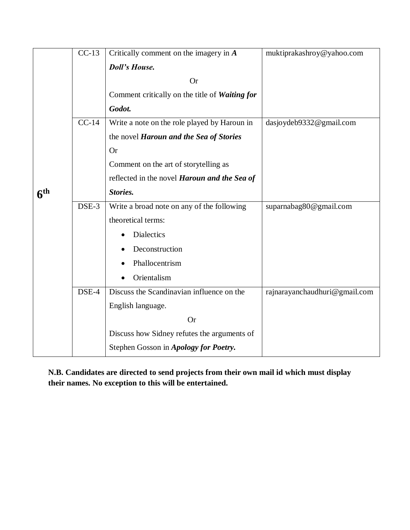|                 | $CC-13$   | Critically comment on the imagery in $A$       | muktiprakashroy@yahoo.com     |
|-----------------|-----------|------------------------------------------------|-------------------------------|
|                 |           | <b>Doll's House.</b>                           |                               |
|                 |           | <b>Or</b>                                      |                               |
|                 |           | Comment critically on the title of Waiting for |                               |
|                 |           | Godot.                                         |                               |
|                 | $CC-14$   | Write a note on the role played by Haroun in   | dasjoydeb9332@gmail.com       |
|                 |           | the novel Haroun and the Sea of Stories        |                               |
|                 |           | <b>Or</b>                                      |                               |
|                 |           | Comment on the art of storytelling as          |                               |
|                 |           | reflected in the novel Haroun and the Sea of   |                               |
| 6 <sup>th</sup> |           | Stories.                                       |                               |
|                 | DSE-3     | Write a broad note on any of the following     | suparnabag80@gmail.com        |
|                 |           | theoretical terms:                             |                               |
|                 |           | <b>Dialectics</b>                              |                               |
|                 |           | Deconstruction                                 |                               |
|                 |           | Phallocentrism                                 |                               |
|                 |           | Orientalism                                    |                               |
|                 | DSE-4     | Discuss the Scandinavian influence on the      | rajnarayanchaudhuri@gmail.com |
|                 |           | English language.                              |                               |
|                 | <b>Or</b> |                                                |                               |
|                 |           | Discuss how Sidney refutes the arguments of    |                               |
|                 |           | Stephen Gosson in Apology for Poetry.          |                               |

**N.B. Candidates are directed to send projects from their own mail id which must display their names. No exception to this will be entertained.**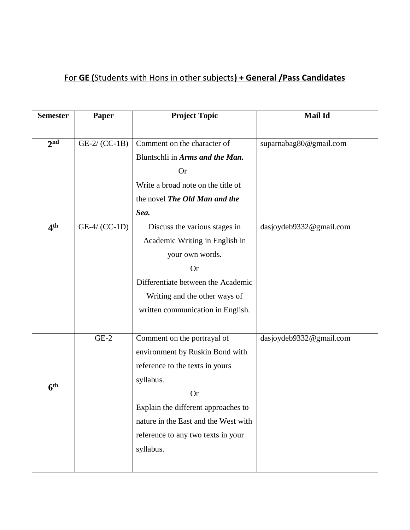# For **GE (**Students with Hons in other subjects**) + General /Pass Candidates**

| <b>Semester</b> | Paper          | <b>Project Topic</b>                 | <b>Mail Id</b>          |
|-----------------|----------------|--------------------------------------|-------------------------|
|                 |                |                                      |                         |
| 2 <sup>nd</sup> | $GE-2/(CC-1B)$ | Comment on the character of          | suparnabag80@gmail.com  |
|                 |                | Bluntschli in Arms and the Man.      |                         |
|                 |                | <b>Or</b>                            |                         |
|                 |                | Write a broad note on the title of   |                         |
|                 |                | the novel The Old Man and the        |                         |
|                 |                | Sea.                                 |                         |
| 4 <sup>th</sup> | GE-4/ (CC-1D)  | Discuss the various stages in        | dasjoydeb9332@gmail.com |
|                 |                | Academic Writing in English in       |                         |
|                 |                | your own words.                      |                         |
|                 |                | <b>Or</b>                            |                         |
|                 |                | Differentiate between the Academic   |                         |
|                 |                | Writing and the other ways of        |                         |
|                 |                | written communication in English.    |                         |
|                 |                |                                      |                         |
|                 | $GE-2$         | Comment on the portrayal of          | dasjoydeb9332@gmail.com |
|                 |                | environment by Ruskin Bond with      |                         |
|                 |                | reference to the texts in yours      |                         |
|                 |                | syllabus.                            |                         |
| 6 <sup>th</sup> |                | <b>Or</b>                            |                         |
|                 |                | Explain the different approaches to  |                         |
|                 |                | nature in the East and the West with |                         |
|                 |                | reference to any two texts in your   |                         |
|                 |                | syllabus.                            |                         |
|                 |                |                                      |                         |